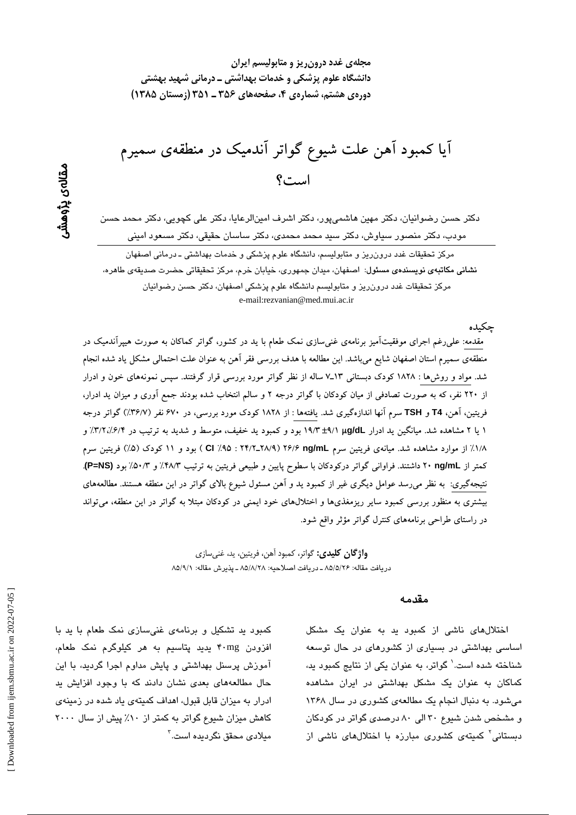آیا کمبود آهن علت شیوع گواتر آندمیک در منطقهی سمیرم است؟

دکتر حسن رضوانیان، دکتر مهین هاشمیپور، دکتر اشرف امینالرعایا، دکتر علی کچویی، دکتر محمد حسن مودب، دکتر منصور سیاوش، دکتر سبد محمد محمدی، دکتر ساسان حقیقی، دکتر مسعود امینی

مرکز تحقیقات غدد درون٫ریز و متابولیسم، دانشگاه علوم پزشکی و خدمات بهداشتی ـ درمانی اصفهان نشانی مکاتبهی نویسندهی مسئول: اصفهان، میدان جمهوری، خیابان خرم، مرکز تحقیقاتی حضرت صدیقهی طاهره، مرکز تحقیقات غدد درون ریز و متابولیسم دانشگاه علوم پزشکی اصفهان، دکتر حسن رضوانیان e-mail:rezvanian@med.mui.ac.ir

حكىدە مقدمه: علی(غم اجرای موفقیتآمیز برنامهی غنیسازی نمک طعام با ید در کشور، گواتر کماکان به صورت هیپرآندمیک در منطقهی سمیرم استان اصفهان شایع میباشد. این مطالعه با هدف بررسی فقر آهن به عنوان علت احتمالی مشکل یاد شده انجام شد. مواد و روش۵ا : ۱۸۲۸ کودک دبستانی ۱۳ـ۷ساله از نظر گواتر مورد بررسی قرار گرفتند. سپس نمونههای خون و ادرار از ۲۲۰ نفر، که به صورت تصادفی از میان کودکان با گواتر درجه ۲ و سالم انتخاب شده بودند جمع اَوری و میزان ید ادرار، فریتین، آهن، T4 و TSH سرم آنها اندازهگیری شد. یافتهها : از ۱۸۲۸ کودک مورد بررسی، در ۶۷۰ نفر (۳۶/۷٪) گواتر درجه ۱ یا ۲ مشاهده شد. میانگین ید ادرار µg/dL (//t4 بود و کمبود ید خفیف، متوسط و شدید به ترتیب در ۳/۲/۲/۲/٪ و ۱/۸٪ از موارد مشاهده شد. میانهی فریتین سرم ۲۶/۶ ng/mL (۲۴/۲\_۲۸/۹ : ۲۴/۲ ) بود و ۱۱ کودک (۵٪) فریتین سرم کمتر از ng/mL ۲۰ داشتند. فراوانی گواتر درکودکان با سطوح پایین و طبیعی فریتین به ترتیب ۴۸/۳٪ و ۵۰/۳٪ بود (P=NS). نتیجهگیری: به نظر میرسد عوامل دیگری غیر از کمبود ید و آهن مسئول شیوع بالای گواتر در این منطقه هستند. مطالعههای بیشتری به منظور بررسی کمبود سایر ریزمغذیها و اختلالهای خود ایمنی در کودکان مبتلا به گواتر در این منطقه، میتواند در راستای طراحی برنامههای کنترل گواتر مؤثر واقع شود.

> **واژ گان کلیدی:** گواتر، کمبود آهن، فریتین، ید، غنی سازی دريافت مقاله: ۸۵/۵/۲۶ ـ دريافت اصلاحيه: ۸۵/۸/۲۸ ـ يذيرش مقاله: ۸۵/۹/۱

#### مقدمه

اختلال های ناشی از کمبود ید به عنوان یک مشکل اساسی بهداشتی در بسیاری از کشورهای در حال توسعه شناخته شده است.' گواتر، به عنوان یکی از نتایج کمبود به، کماکان به عنوان یک مشکل بهداشتی در ایران مشاهده میشود. به دنبال انجام یک مطالعهی کشوری در سال ۱۳۶۸ و مشخص شدن شیوع ۳۰ الی ۸۰ درصدی گواتر در کودکان دستانی<sup>٬</sup> کمیتهی کشوری مبارزه با اختلالهای ناش*ی* از

مقالەي پڑوھشر

کمبود ید تشکیل و برنامهی غنی سازی نمک طعام با ید با افزودن ۴۰mg پدید پتاسیم به هر کیلوگرم نمک طعام، آموزش پرسنل بهداشتی و پایش مداوم اجرا گردید، با این حال مطالعههای بعدی نشان دادند که با وجود افزایش ید ادرار به میزان قابل قبول، اهداف کمیتهی یاد شده در زمینهی کاهش میزان شیوع گواتر به کمتر از ۱۰٪ پیش از سال ۲۰۰۰ مىلا*دى* محقق نگردىدە است.<sup>۳</sup>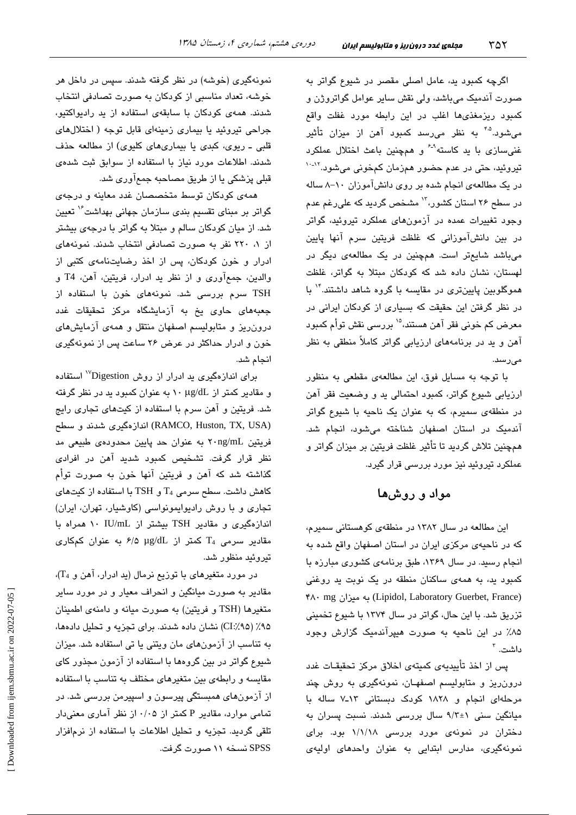اگرچه کمبود بد، عامل اصلی مقصر در شیوع گواتر به صورت آندمیک میباشد، ولی نقش سایر عوامل گواتروژن و کمبود ریزمغذیها اغلب در این رابطه مورد غفلت واقع می شود.<sup>۴،۵</sup> به نظر می<sub>ا</sub>رسد کمبود آهن از میزان تأثیر غنی سازی با ید کاسته<sup>۹-۶</sup> و همچنین باعث اختلال عملکرد تیروئید، حتی در عدم حضور همزمان کمخونی میشود.<sup>۱۲-۱۰</sup> در یک مطالعهی انجام شده بر روی دانشآموزان ١٠-٨ ساله در سطح ۲۶ استان کشور،<sup>۱۲</sup> مشخص گردید که علی٫غم ع*د*م وجود تغییرات عمده در آزمونهای عملکرد تیروئید، گواتر در بین دانشآموزانی که غلظت فریتین سرم آنها پایین میباشد شایعتر است. همچنین در یک مطالعهی دیگر در لهستان، نشان داده شد که کودکان مبتلا به گواتر، غلظت هموگلوبین پایینتری در مقایسه با گروه شاهد داشتند." با در نظر گرفتن این حقیقت که بسیاری از کودکان ایرانی در معرض کم خونی فقر آهن هستند،<sup>۱۵</sup> بررسی نقش توأم کمبود آهن و ید در برنامههای ارزیابی گواتر کاملاً منطقی به نظر مے از سندا

با توجه به مسایل فوق، این مطالعهی مقطعی به منظور ارزیابی شیوع گواتر، کمبود احتمالی ید و وضعیت فقر آهن در منطقهی سمیرم، که به عنوان یک ناحیه با شیوع گواتر آندمیک در استان اصفهان شناخته می شود، انجام شد. همچنین تلاش گردید تا تأثیر غلظت فریتین بر میزان گواتر و عملکرد تیروئید نیز مورد بررسی قرار گیرد.

## مواد و روشها

این مطالعه در سال ۱۳۸۲ در منطقهی کوهستانی سمیرم، كه در ناحیهی مركزی ایران در استان اصفهان واقع شده به انجام رسید. در سال ۱۳۶۹، طبق برنامهی کشوری مبارزه با کمبود ید، به همهی ساکنان منطقه در یک نوبت ید روغنی (Lipidol, Laboratory Guerbet, France) به میزان (Lipidol, Laboratory Guerbet, France تزریق شد. با این حال، گواتر در سال ۱۳۷۴ با شیوع تخمینی ۸۵٪ در این ناحیه به صورت هیپرآندمیک گزارش وجود داشت. <sup>۳</sup>

پس از اخذ تأییدیهی کمیتهی اخلاق مرکز تحقیقـات غدد درون ریز و متابولیسم اصفهان، نمونهگیری به روش چند مرحلهای انجام و ۱۸۲۸ کودک دبستانی ۱۳ـ۷ ساله با میانگین سنی ۱+۹/۳ سال بررسی شدند. نسبت پسران به دختران در نمونهی مورد بررسی ۱/۱/۱۸ بود. برای نمونهگیری، مدارس ابتدایی به عنوان واحدهای اولیهی

نمونهگیری (خوشه) در نظر گرفته شدند. سپس در داخل هر خوشه، تعداد مناسبی از کودکان به صورت تصادفی انتخاب شدند. همهی کودکان با سابقهی استفاده از ید رادیواکتیو، جراحی تیروئید یا بیماری زمینهای قابل توجه ( اختلالهای قلبی ـ ریوی، کبدی یا بیماریهای کلیوی) از مطالعه حذف شدند. اطلاعات مورد نیاز با استفاده از سوابق ثبت شدهی قبلی پزشکی یا از طریق مصاحبه جمعآوری شد.

همهی کودکان توسط متخصصان غدد معاینه و درجهی گواتر بر مبنای تقسیم بندی سازمان جهانی بهداشت<sup>۱٬</sup> تعیین شد. از میان کودکان سالم و مبتلا به گواتر با درجهی بیشتر از ۱، ۲۲۰ نفر به صورت تصادفی انتخاب شدند. نمونههای ادرار و خون کودکان، پس از اخذ رضایتنامهی کتبی از والدين، جمع آوري و از نظر يد ادرار، فريتين، آهن، T4 و .<br>TSH سرم بررسی شد. نمونههای خون با استفاده از جعبههای حاوی یخ به آزمایشگاه مرکز تحقیقات غدد درون ریز و متابولیسم اصفهان منتقل و همهی آزمایشهای خون و ادرار حداکثر در عرض ۲۶ ساعت پس از نمونهگیری انجام شد.

برای اندازهگیری بد ادرار از روش Digestion'' استفاده و مقادیر کمتر از ۱۰ µg/dL به عنوان کمبود ید در نظر گرفته شد. فریتین و آهن سرم با استفاده از کیتهای تجاری رایج (RAMCO, Huston, TX, USA) اندازهگیری شدند و سطح فریتین ۲۰ng/mL به عنوان حد پایین محدودهی طبیعی مد نظر قرار گرفت. تشخیص کمبود شدید آهن در افرا*دی* گذاشته شد که آهن و فریتین آنها خون به صورت توأم کاهش داشت. سطح سرمی  $T_4$  و TSH با استفاده از کیتهای تجاری و با روش رادیوایمونواسی (کاوشیار، تهران، ایران) اندازهگیری و مقادیر TSH بیشتر از IU/mL ۱۰ همراه با مقادیر سرمی T4 کمتر از p/۵ µg/dL به عنوان کمکاری تىروئىد منظور شد.

در مورد متغیرهای با توزیع نرمال (ید ادرار، آهن و T<sub>4</sub>)، مقادیر به صورت میانگین و انحراف معیار و در مورد سایر متغیرها (TSH و فریتین) به صورت میانه و دامنهی اطمینان ۹۵٪ (CI:⁄۹۵) نشان داده شدند. برای تجزیه و تحلیل دادهها، به تناسب از آزمونهای مان ویتنی یا تی استفاده شد. میزان شیوع گواتر در بین گروهها با استفاده از آزمون مجذور کای مقایسه و رابطهی بین متغیرهای مختلف به تناسب با استفاده از آزمونهای همبستگی پیرسون و اسپیرمن بررسی شد. در تمامی موارد، مقادیر P کمتر از ۰/۰۵ از نظر آماری معنیدار تلقی گردید. تجزیه و تحلیل اطلاعات با استفاده از نرمافزار SPSS نسخه ۱۱ صورت گرفت.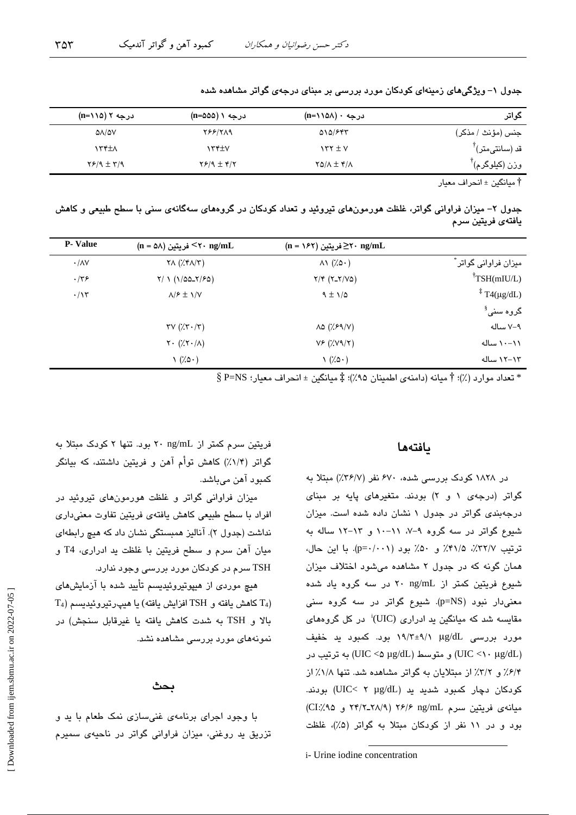۳۵۳

| گواتر                         | درجه ۰ (۱۱۵۸–n)                  | درجه ۱ (n=۵۵۵)               | درجه ۲ (۱۱۵–n)              |
|-------------------------------|----------------------------------|------------------------------|-----------------------------|
| جنس (مؤنث / مذكر)             | 010/FFT                          | <b>788/719</b>               | $\Delta \Lambda / \Delta V$ |
| قد (سانتیمتر) ً               | $\gamma$ $\gamma$ $\pm$ $\gamma$ | ۱۳۴±۷                        | ۱۳۴±۸                       |
| $^{\mathsf{T}}$ وزن (کیلوگرم) | $YQ/\Lambda \pm Y/\Lambda$       | $Y$ $/$ $($ $\pm$ $\sqrt{Y}$ | $Y$ $/9$ $\pm$ $Y$ $/9$     |
|                               |                                  |                              |                             |

جدول ۱– ویژگیهای زمینهای کودکان مورد بررسی بر مبنای درجهی گواتر مشاهده شده

† مبانگین ± انجر اف معبار

جدول ۲– میزان فراوانی گواتر، غلظت هورمونهای تیروئید و تعداد کودکان در گروههای سهگانهی سنی با سطح طبیعی و کاهش يافتەي فريتين سرم

| <b>P</b> - Value  | $(n = \Delta \lambda)$ فریتین <۲۰ ng/mL                    | $(n = \sqrt{2\pi})$ فریتین $\geq$ ۲۰ ng/mL |                               |
|-------------------|------------------------------------------------------------|--------------------------------------------|-------------------------------|
| $\cdot/\lambda V$ | $\forall \Lambda$ ( $\forall$ $\forall \Lambda/\Upsilon$ ) | $\wedge\wedge$ (% $\circ\cdot$ )           | َ میزان فراوانی گواتر ً       |
| $\cdot$ /٣۶       | $Y/ \ 1 (1/\Delta \Delta Y / 5)$                           | $Y/Y (Y-Y/VQ)$                             | TSH(mIU/L)                    |
| $\cdot/\gamma$    | $\lambda$ / $\epsilon \pm \lambda$ / $\lambda$             | $9 \pm 1/2$                                | $\frac{1}{4}$ T4(µg/dL)       |
|                   |                                                            |                                            | گروہ سن <i>ی</i> <sup>§</sup> |
|                   | $\tau v$ ( $\lambda \tau \cdot (\tau)$                     | $\lambda \Delta$ (% $59/$ V)               | ۷–۷ ساله                      |
|                   | $Y \cdot (\frac{1}{2}Y \cdot \frac{1}{2})$                 | $V_F(Y,VY Y)$                              | ۰۰-۱۱ ساله                    |
|                   | $\setminus$ $(7.0 \cdot)$                                  | $\left(\frac{7}{9}\right)$                 | ۱۲–۱۲ ساله                    |

 $\S$  تعداد موارد (٪)؛ † ميانه (دامنهي اطمينان ٩۵٪)؛ ‡ ميانگين ± انحراف معيار؛  $\Sigma$ =NS  $*$ 

### بافتهها

در ۱۸۲۸ کودک بررسی شده، ۶۷۰ نفر (۳۶/۷٪) مبتلا به گواتر (درجهی ۱ و ۲) بودند. متغیرهای پایه بر مبنای درجهبندی گواتر در جدول ۱ نشان داده شده است. میزان شیوع گواتر در سه گروه ۹-۷، ۱۱-۱۰ و ۱۳-۱۲ ساله به ترتيب ٣٢/٧٪، ٣١/٥٪ و ۵٠٪ بود (p=٠/٠٠١). با اين حال، همان گونه که در جدول ۲ مشاهده می شود اختلاف میزان شیوع فریتین کمتر از ۲۰ ng/mL در سه گروه یاد شده معنی دار نبود (p=NS). شیوع گواتر در سه گروه سنی مقایسه شد که میانگین ید ادراری (UIC)<sup>:</sup> در کل گروههای مورد بررسی ug/dL (۱۹/۳±۹/۱ بود. کمبود ید خفیف و متوسط (UIC <۵ µg/dL) به ترتيب در (UIC <۵ µg/dL) ۶/۴٪ و ۳/۲٪ از مبتلایان به گواتر مشاهده شد. تنها ۱/۸٪ از کودکان دچار کمبود شدید ید (UIC< ۲ µg/dL) بودند. ميانه ي فريتين سرم ٢۶/٢ ٢/١/٩ ٢۶/٢ و CI:/٩٥ و CI:/٩٥ بود و در ١١ نفر از كودكان مبتلا به گواتر (۵٪)، غلظت

فریتین سرم کمتر از r ng/mL بود. تنها ۲ کودک مبتلا به گواتر (۱/۴٪) کاهش توأم آهن و فریتین داشتند، که بیانگر کمبود آهن میباشد.

میزان فراوانی گواتر و غلظت هورمونهای تیروئید در افراد با سطح طبیعی کاهش یافتهی فریتین تفاوت معنیداری نداشت (جدول ۲). آنالیز همبستگی نشان داد که هیچ رابطهای ميان آهن سرم و سطح فريتين با غلظت يد ادراري، T4 و TSH سرم در کودکان مورد بررسی وجود ندارد.

هیچ موردی از هیپوتیروئیدیسم تأیید شده با آزمایشهای  $T_4$ ) كاهش يافته و  $TSH$  افزايش يافته) يا هيپرتيروئيديسم  $T_4$ بالا و TSH به شدت كاهش يافته يا غيرقابل سنجش) در نمونههای مورد بررسی مشاهده نشد.

### ىحث

با وجود اجرای برنامهی غنیسازی نمک طعام با ید و تزریق ید روغنی، میزان فراوانی گواتر در ناحیهی سمیرم

i- Urine iodine concentration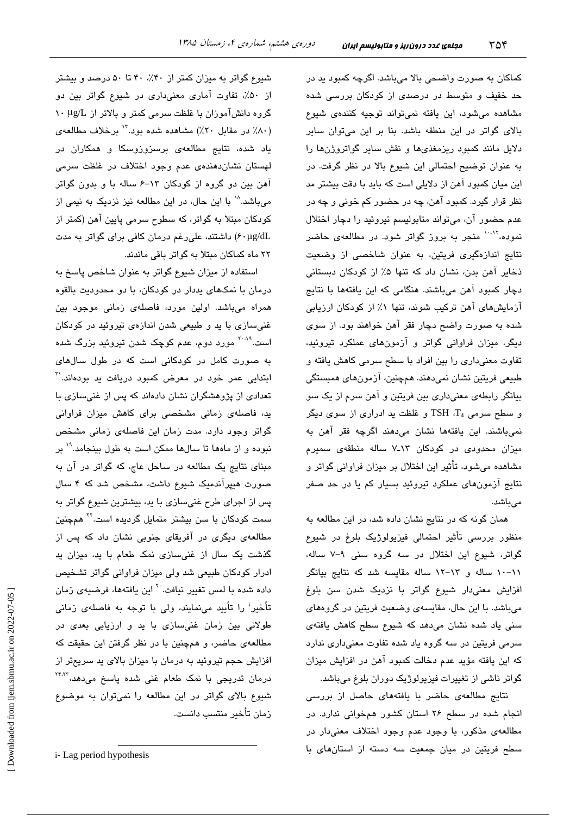کماکان به صورت واضحی بالا میباشد. اگرچه کمبود پد در حد خفیف و متوسط در درصدی از کودکان بررسی شده مشاهده میشود، این یافته نمیتواند توجیه کنندهی شیوع بالای گواتر در این منطقه باشد. بنا بر این میتوان سایر دلایل مانند کمبود ریزمغذیها و نقش سایر گواتروژنها را به عنوان توضيح احتمالي اين شيوع بالا در نظر گرفت. در این میان کمبود آهن از دلایلی است که باید با دقت بیشتر مد نظر قرار گیرد. کمبود آهن، چه در حضور کم خونی و چه در عدم حضور آن، ميتواند متابوليسم تيروئيد را دچار اختلال نمو ده،<sup>۱۰-۱۲</sup> منجر به بروز گواتر شود. در مطالعهی حاضر نتایج اندازهگیری فریتین، به عنوان شاخصی از وضعیت ذخایر آهن بدن، نشان داد که تنها ۵٪ از کودکان دبستانی دچار کمبود آهن میباشند. هنگامی که این یافتهها با نتایج آزمایشهای آهن ترکیب شوند، تنها ۱٪ از کودکان ارزیابی شده به صورت واضح دچار فقر آهن خواهند بود. از سوی دیگر، میزان فراوانی گواتر و آزمونهای عملکرد تیروئید، تفاوت معنی،داری را بین افراد با سطح سرمی کاهش یافته و طبیعی فریتین نشان نمیدهند. همچنین، آزمونهای همبستگی بیانگر رابطهی معنیداری بین فریتین و آهن سرم از یک سو و سطح سرمی TSH ،T4 و غلظت ید ادراری از سوی دیگر نمیباشند. این یافتهها نشان میدهند اگرچه فقر آهن به میزان محدودی در کودکان ۱۳ـ۷ ساله منطقهی سمیرم مشاهده میشود، تأثیر این اختلال بر میزان فراوانی گواتر و نتایج آزمونهای عملکرد تیروئید بسیار کم یا در حد صفر مے باشد.

همان گونه که در نتایج نشان داده شد، در این مطالعه به منظور بررسی تأثیر احتمالی فیزیولوژیک بلوغ در شیوع گواتر، شیوع این اختلال در سه گروه سنی ۹–۷ ساله، ١١-١٠ ساله و ١٣-١٢ ساله مقايسه شد كه نتايج بيانكر افزایش معنیدار شیوع گواتر با نزدیک شدن سن بلوغ میباشد. با این حال، مقایسهی وضعیت فریتین در گروههای سنی یاد شده نشان میدهد که شیوع سطح کاهش یافتهی سرمی فریتین در سه گروه یاد شده تفاوت معنیداری ندارد که این یافته مؤید عدم دخالت کمبود آهن در افزایش میزان گواتر ناشی از تغییرات فیزیولوژیک دوران بلوغ میباشد.

نتایج مطالعهی حاضر با یافتههای حاصل از بررسی انجام شده در سطح ۲۶ استان کشور همخوانی ندارد. در مطالعهى مذكور، با وجود عدم وجود اختلاف معنىدار در سطح فریتین در میان جمعیت سه دسته از استانهای با

شیوع گواتر به میزان کمتر از ۴۰٪، ۴۰ تا ۵۰ درصد و بیشتر از ۵۰٪، تفاوت آماری معنیداری در شیوع گواتر بین دو گروه دانشآموزان با غلظت سرمی کمتر و بالاتر از µg/L ۱۰ (٨٠٪ در مقابل ٢٠٪) مشاهده شده بود. " برخلاف مطالعهى یاد شده، نتایج مطالعهی برسزوزوسکا و همکاران در لهستان نشان دهندهی عدم وجود اختلاف در غلظت سرمی آهن بین دو گروه از کودکان ١٣-۶ ساله با و بدون گواتر میباشد.^` با این حال، در این مطالعه نیز نزدیک به نیمی از کودکان مبتلا به گواتر، که سطوح سرمی پایین آهن (کمتر از ۶۰µg/dL) داشتند، علیرغم درمان کافی برای گواتر به مدت ۲۲ ماه کماکان مبتلا به گواتر باقی ماندند.

استفاده از میزان شیوع گواتر به عنوان شاخص پاسخ به درمان با نمکهای پددار در کودکان، با دو محدودیت بالقوه همراه میباشد. اولین مورد، فاصلهی زمانی موجود بین غنیسازی با ید و طبیعی شدن اندازهی تیروئید در کودکان است.<sup>۲۰۰۹</sup> مورد دوم، عدم کوچک شدن تیروئید بزرگ شده به صورت کامل در کودکانی است که در طول سالهای ابتدایی عمر خود در معرض کمبود دریافت ید بودهاند.'' تعدادی از پژوهشگران نشان دادهاند که پس از غنیسازی با ید، فاصلهی زمانی مشخصی برای کاهش میزان فراوانی گواتر وجود دارد. مدت زمان این فاصلهی زمانی مشخص نبوده و از ماهها تا سالها ممکن است به طول بینجامد.<sup>۱۹</sup> بر مبنای نتایج یک مطالعه در ساحل عاج، که گواتر در آن به صورت هیپرآندمیک شیوع داشت، مشخص شد که ۴ سال پس از اجرای طرح غنیسازی با ید، بیشترین شیوع گواتر به سمت کودکان با سن بیشتر متمایل گردیده است.<sup>۲۲</sup> همچنین مطالعهی دیگری در آفریقای جنوبی نشان داد که پس از گذشت یک سال از غنی سازی نمک طعام با ید، میزان ید ادرار کودکان طبیعی شد ولی میزان فراوانی گواتر تشخیص داده شده با لمس تغییر نیافت.<sup>۲۰</sup> این یافتهها، فرضیهی زمان تأخیر<sup>:</sup> را تأیید مینمایند، ولی با توجه به فاصلهی زمانی طولانی بین زمان غنیسازی با ید و ارزیابی بعدی در مطالعهی حاضر، و همچنین با در نظر گرفتن این حقیقت که افزایش حجم تیروئید به درمان با میزان بالای ید سریعتر از درمان تدریجی با نمک طعام غنی شده پاسخ میدهد، <sup>۲۴٬۲۲</sup> شیوع بالای گواتر در این مطالعه را نمیتوان به موضوع زمان تأخير منتسب دانست.

*i*-Lag period hypothesis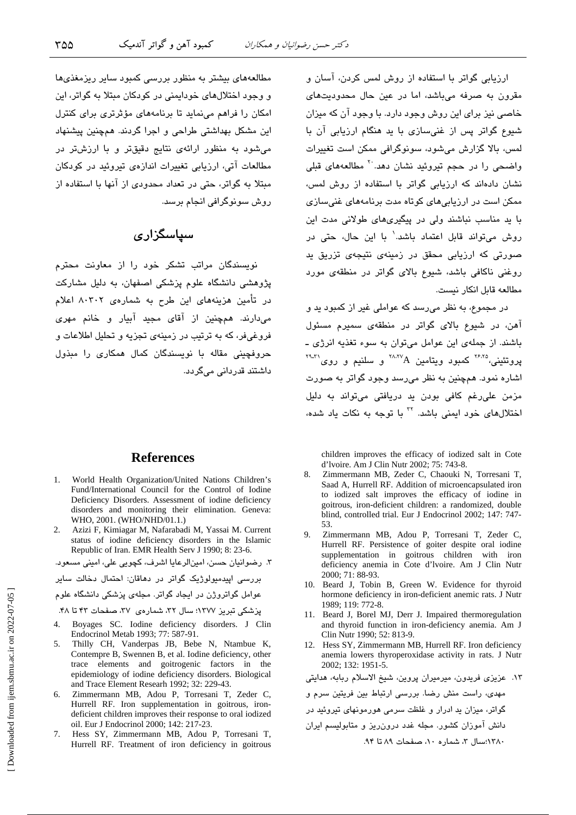ارزیابی گواتر با استفاده از روش لمس کردن، آسان و .<br>مقرون به صرفه میباشد، اما در عبن حال محدودستهای خاصی نیز برای این روش وجود دارد. با وجود آن که میزان شیوع گواتر پس از غنی سازی با ید هنگام ارزیابی آن با لمس، بالا گزارش مےشود، سوئوگرافی ممکن است تغییرات واضحی را در حجم تیروئید نشان دهد<sup>.۲۰</sup> مطالعههای قبلی نشان دادهاند که ارزیابی گواتر با استفاده از روش لمس، ممکن است در ارزیابی های کوتاه مدت برنامههای غنی سازی با ید مناسب نباشند ولی در پیگیریهای طولانی مدت این روش می تواند قابل اعتماد باشد. با این حال، حتی در صورتی که ارزیابی محقق در زمینهی نتیجهی تزریق ید روغنی ناکافی باشد، شیوع بالای گواتر در منطقهی مورد مطالعه قابل انكار نيست.

در مجموع، به نظر می رسد که عواملی غیر از کمبود ید و آهن، در شیوع بالای گواتر در منطقهی سمیرم مسئول باشند. از جملهی این عوامل میتوان به سوء تغذیه انرژی ـ  $\text{R}^{\text{YAPA}}$ یروتئینی، ۱٬۰۰۰٬ کمبورد ویتامین A $\text{A}^{\text{YAPA}}$ و سلنیم و روی اشاره نمود. همچنین به نظر میرسد وجود گواتر به صورت مزمن على رغم كافى بودن يد دريافتى مى تواند به دليل اختلالهای خود ایمنی باشد. <sup>۲۲</sup> با توجه به نکات یاد شده،

children improves the efficacy of iodized salt in Cote d'Ivoire. Am J Clin Nutr 2002; 75: 743-8.

- $\mathbf{R}$ Zimmermann MB, Zeder C, Chaouki N, Torresani T, Saad A, Hurrell RF. Addition of microencapsulated iron to iodized salt improves the efficacy of iodine in goitrous, iron-deficient children: a randomized, double blind, controlled trial. Eur J Endocrinol 2002; 147: 747-53.
- Zimmermann MB, Adou P, Torresani T, Zeder C, 9. Hurrell RF. Persistence of goiter despite oral iodine supplementation in goitrous children with iron deficiency anemia in Cote d'Ivoire. Am J Clin Nutr 2000; 71: 88-93.
- 10. Beard J, Tobin B, Green W. Evidence for thyroid hormone deficiency in iron-deficient anemic rats. J Nutr 1989; 119: 772-8.
- 11. Beard J, Borel MJ, Derr J. Impaired thermoregulation and thyroid function in iron-deficiency anemia. Am J Clin Nutr 1990; 52: 813-9.
- 12. Hess SY, Zimmermann MB, Hurrell RF. Iron deficiency anemia lowers thyroperoxidase activity in rats. J Nutr 2002; 132: 1951-5.

١٣. عزیزی فریدون، میرمیران پروین، شیخ الاسلام ربابه، هدایتی مهدی، راست منش رضا. بررسی ارتباط بین فریتین سرم و گواتر، میزان ید ادرار و غلظت سرمی هورمونهای تیروئید در

١٣٨٠:سال ٣، شماره ١٠، صفحات ٨٩ تا ٩۴.

مطالعههای بیشتر به منظور بررسی کمبود سایر ریزمغذیها و وجود اختلالهای خوداممنی در کودکان میتلا به گواتر، این امکان را فراهم مینماید تا برنامههای مؤثرتری برای کنترل این مشکل بهداشتی طراحی و اجرا گردند. همچنین پیشنهاد می شود به منظور ارائهی نتایج دقیقتر و با ارزشتر در مطالعات آتی، ارزیابی تغییرات اندازهی تیروئید در کودکان مبتلا به گواتر، حتی در تعداد محدودی از آنها با استفاده از روش سونوگرافی انجام برسد.

## سیاسگزاری

.<br>نویسندگان مراتب تشکر خود را از معاونت محترم .<br>پژوهشی دانشگاه علوم پزشکی اصفهان، به دلیل مشارکت در تأمین هزینههای این طرح به شمارهی ۸۰۳۰۲ اعلام می،دارند. همچنین از آقای مجید آبیار و خانم مهری فروغيفر، كه به ترتيب در زمينهي تجزيه و تحليل اطلاعات و حروفچینی مقاله با نویسندگان کمال همکاری را مبذول داشتند قدردانی میگردد.

### **References**

- 1. World Health Organization/United Nations Children's Fund/International Council for the Control of Iodine Deficiency Disorders. Assessment of iodine deficiency disorders and monitoring their elimination. Geneva: WHO, 2001. (WHO/NHD/01.1.)
- 2. Azizi F, Kimiagar M, Nafarabadi M, Yassai M. Current status of iodine deficiency disorders in the Islamic Republic of Iran. EMR Health Serv J 1990; 8: 23-6.

۳. رضوانیان حسن، امینالرعایا اشرف، کچوبی علی، امینی مسعود.

پررسے ابیدمیولوژیک گواتر ادر دھاقان: احتمال دخالت سایر

عوامل گواتروژن در ایجاد گواتر. مجلهی پزشکی دانشگاه علوم

یزشکی تبریز ۱۳۷۷؛ سال ۳۲، شمارهی ۳۷، صفحات ۴۳ تا ۴۸.

- Boyages SC. Iodine deficiency disorders. J Clin Endocrinol Metab 1993; 77: 587-91.
- 5. Thilly CH, Vanderpas JB, Bebe N, Ntambue K, Contempre B, Swennen B, et al. Iodine deficiency, other trace elements and goitrogenic factors in the epidemiology of iodine deficiency disorders. Biological and Trace Element Researh 1992; 32: 229-43.
- Zimmermann MB, Adou P, Torresani T, Zeder C, 6. Hurrell RF. Iron supplementation in goitrous, irondeficient children improves their response to oral iodized oil. Eur J Endocrinol 2000; 142: 217-23.
- 7. Hess SY, Zimmermann MB, Adou P, Torresani T, Hurrell RF. Treatment of iron deficiency in goitrous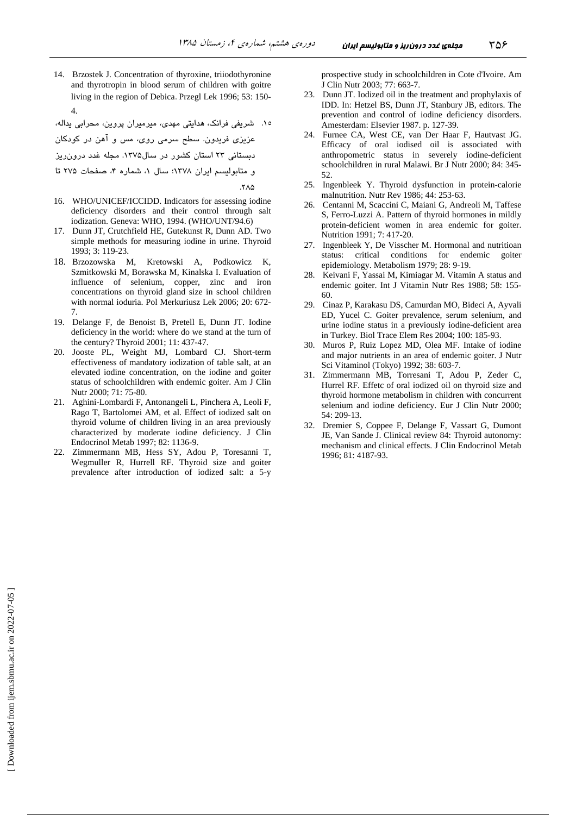14. Brzostek J. Concentration of thyroxine, triiodothyronine and thyrotropin in blood serum of children with goitre living in the region of Debica. Przegl Lek 1996; 53: 150- 4.

۱۵. شریفی فرانک، هدایتی مهدی، میرمیران پروین، محرابی یداله،

 - R - Z , 1- % XY% .-#
 F 13
3

دبستانی ۲۳ استان کشور در سال۱۳۷۵. مجله غدد درون ریز

و متابولیسم ایران ۱۳۷۸؛ سال ۱، شماره ۴، صفحات ۲۷۵ تا

.7۸۵

- 16. WHO/UNICEF/ICCIDD. Indicators for assessing iodine deficiency disorders and their control through salt iodization. Geneva: WHO, 1994. (WHO/UNT/94.6)
- 17. Dunn JT, Crutchfield HE, Gutekunst R, Dunn AD. Two simple methods for measuring iodine in urine. Thyroid 1993; 3: 119-23.
- 18. Brzozowska M, Kretowski A, Podkowicz K, Szmitkowski M, Borawska M, Kinalska I. Evaluation of influence of selenium, copper, zinc and iron concentrations on thyroid gland size in school children with normal ioduria. Pol Merkuriusz Lek 2006; 20: 672- 7.
- 19. Delange F, de Benoist B, Pretell E, Dunn JT. Iodine deficiency in the world: where do we stand at the turn of the century? Thyroid 2001; 11: 437-47.
- 20. Jooste PL, Weight MJ, Lombard CJ. Short-term effectiveness of mandatory iodization of table salt, at an elevated iodine concentration, on the iodine and goiter status of schoolchildren with endemic goiter. Am J Clin Nutr 2000; 71: 75-80.
- 21. Aghini-Lombardi F, Antonangeli L, Pinchera A, Leoli F, Rago T, Bartolomei AM, et al. Effect of iodized salt on thyroid volume of children living in an area previously characterized by moderate iodine deficiency. J Clin Endocrinol Metab 1997; 82: 1136-9.
- 22. Zimmermann MB, Hess SY, Adou P, Toresanni T, Wegmuller R, Hurrell RF. Thyroid size and goiter prevalence after introduction of iodized salt: a 5-y

prospective study in schoolchildren in Cote d'Ivoire. Am J Clin Nutr 2003; 77: 663-7.

- 23. Dunn JT. Iodized oil in the treatment and prophylaxis of IDD. In: Hetzel BS, Dunn JT, Stanbury JB, editors. The prevention and control of iodine deficiency disorders. Amesterdam: Elsevier 1987. p. 127-39.
- 24. Furnee CA, West CE, van Der Haar F, Hautvast JG. Efficacy of oral iodised oil is associated with anthropometric status in severely iodine-deficient schoolchildren in rural Malawi. Br J Nutr 2000; 84: 345- 52.
- 25. Ingenbleek Y. Thyroid dysfunction in protein-calorie malnutrition. Nutr Rev 1986; 44: 253-63.
- 26. Centanni M, Scaccini C, Maiani G, Andreoli M, Taffese S, Ferro-Luzzi A. Pattern of thyroid hormones in mildly protein-deficient women in area endemic for goiter. Nutrition 1991; 7: 417-20.
- 27. Ingenbleek Y, De Visscher M. Hormonal and nutritioan status: critical conditions for endemic goiter epidemiology. Metabolism 1979; 28: 9-19.
- 28. Keivani F, Yassai M, Kimiagar M. Vitamin A status and endemic goiter. Int J Vitamin Nutr Res 1988; 58: 155- 60.
- 29. Cinaz P, Karakasu DS, Camurdan MO, Bideci A, Ayvali ED, Yucel C. Goiter prevalence, serum selenium, and urine iodine status in a previously iodine-deficient area in Turkey. Biol Trace Elem Res 2004; 100: 185-93.
- 30. Muros P, Ruiz Lopez MD, Olea MF. Intake of iodine and major nutrients in an area of endemic goiter. J Nutr Sci Vitaminol (Tokyo) 1992; 38: 603-7.
- 31. Zimmermann MB, Torresani T, Adou P, Zeder C, Hurrel RF. Effetc of oral iodized oil on thyroid size and thyroid hormone metabolism in children with concurrent selenium and iodine deficiency. Eur J Clin Nutr 2000; 54: 209-13.
- 32. Dremier S, Coppee F, Delange F, Vassart G, Dumont JE, Van Sande J. Clinical review 84: Thyroid autonomy: mechanism and clinical effects. J Clin Endocrinol Metab 1996; 81: 4187-93.